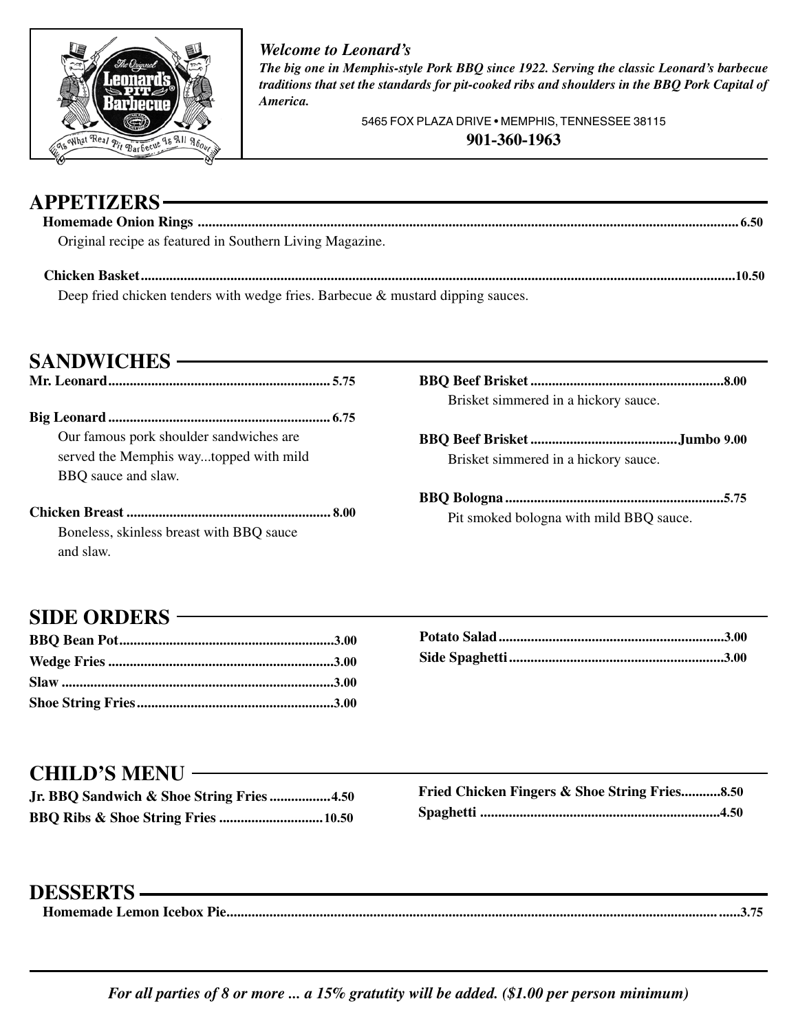

## **APPETIZERS**

#### *Welcome to Leonard's*

*The big one in Memphis-style Pork BBQ since 1922. Serving the classic Leonard's barbecue traditions that set the standards for pit-cooked ribs and shoulders in the BBQ Pork Capital of America.*

> 5465 FOX PLAZA DRIVE • MEMPHIS, TENNESSEE 38115 **901-360-1963**

| AI I L'I I <i>l</i> lino                                 |  |
|----------------------------------------------------------|--|
|                                                          |  |
| Original recipe as featured in Southern Living Magazine. |  |
|                                                          |  |

Deep fried chicken tenders with wedge fries. Barbecue & mustard dipping sauces.

**SANDWICHES**

**Mr. Leonard .............................................................. 5.75**

**Big Leonard .............................................................. 6.75** Our famous pork shoulder sandwiches are served the Memphis way...topped with mild BBQ sauce and slaw.

**Chicken Breast ......................................................... 8.00** Boneless, skinless breast with BBQ sauce and slaw.

- **BBQ Beef Brisket ......................................................8.00** Brisket simmered in a hickory sauce.
- **BBQ Beef Brisket .........................................Jumbo 9.00** Brisket simmered in a hickory sauce.
- **BBQ Bologna .............................................................5.75** Pit smoked bologna with mild BBQ sauce.

#### **SIDE ORDERS**

#### **CHILD'S MENU**

| Jr. BBQ Sandwich & Shoe String Fries4.50 |  |
|------------------------------------------|--|
|                                          |  |

| <b>Fried Chicken Fingers &amp; Shoe String Fries 8.50</b> |  |
|-----------------------------------------------------------|--|
|                                                           |  |

### **DESSERTS**

| _________________ |  |
|-------------------|--|
|                   |  |

*For all parties of 8 or more ... a 15% gratutity will be added. (\$1.00 per person minimum)*